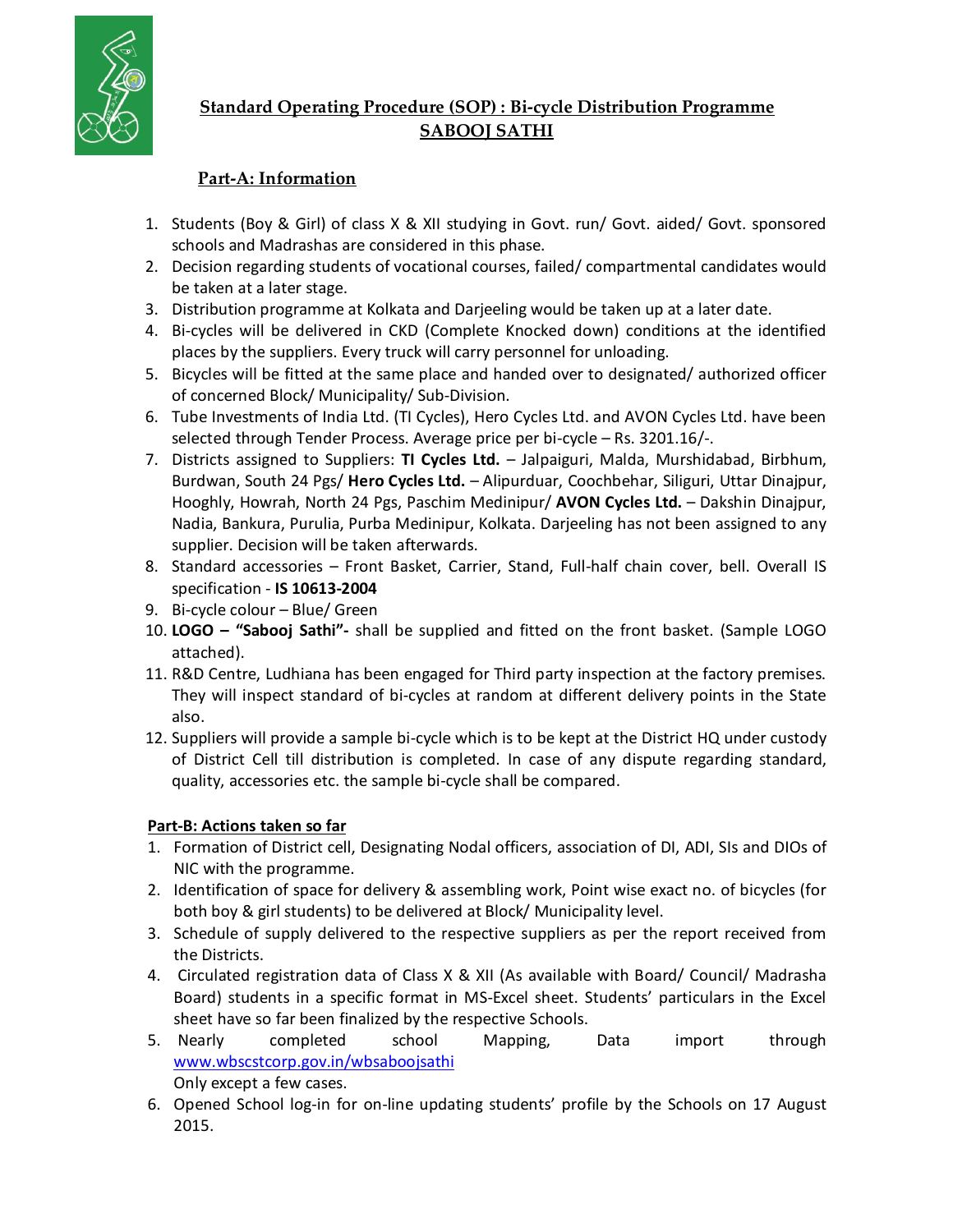

## **Standard Operating Procedure (SOP) : Bi-cycle Distribution Programme SABOOJ SATHI**

## **Part-A: Information**

- 1. Students (Boy & Girl) of class X & XII studying in Govt. run/ Govt. aided/ Govt. sponsored schools and Madrashas are considered in this phase.
- 2. Decision regarding students of vocational courses, failed/ compartmental candidates would be taken at a later stage.
- 3. Distribution programme at Kolkata and Darjeeling would be taken up at a later date.
- 4. Bi-cycles will be delivered in CKD (Complete Knocked down) conditions at the identified places by the suppliers. Every truck will carry personnel for unloading.
- 5. Bicycles will be fitted at the same place and handed over to designated/ authorized officer of concerned Block/ Municipality/ Sub-Division.
- 6. Tube Investments of India Ltd. (TI Cycles), Hero Cycles Ltd. and AVON Cycles Ltd. have been selected through Tender Process. Average price per bi-cycle – Rs. 3201.16/-.
- 7. Districts assigned to Suppliers: **TI Cycles Ltd.** Jalpaiguri, Malda, Murshidabad, Birbhum, Burdwan, South 24 Pgs/ **Hero Cycles Ltd.** – Alipurduar, Coochbehar, Siliguri, Uttar Dinajpur, Hooghly, Howrah, North 24 Pgs, Paschim Medinipur/ **AVON Cycles Ltd.** – Dakshin Dinajpur, Nadia, Bankura, Purulia, Purba Medinipur, Kolkata. Darjeeling has not been assigned to any supplier. Decision will be taken afterwards.
- 8. Standard accessories Front Basket, Carrier, Stand, Full-half chain cover, bell. Overall IS specification - **IS 10613-2004**
- 9. Bi-cycle colour Blue/ Green
- 10. **LOGO "Sabooj Sathi"-** shall be supplied and fitted on the front basket. (Sample LOGO attached).
- 11. R&D Centre, Ludhiana has been engaged for Third party inspection at the factory premises. They will inspect standard of bi-cycles at random at different delivery points in the State also.
- 12. Suppliers will provide a sample bi-cycle which is to be kept at the District HQ under custody of District Cell till distribution is completed. In case of any dispute regarding standard, quality, accessories etc. the sample bi-cycle shall be compared.

## **Part-B: Actions taken so far**

- 1. Formation of District cell, Designating Nodal officers, association of DI, ADI, SIs and DIOs of NIC with the programme.
- 2. Identification of space for delivery & assembling work, Point wise exact no. of bicycles (for both boy & girl students) to be delivered at Block/ Municipality level.
- 3. Schedule of supply delivered to the respective suppliers as per the report received from the Districts.
- 4. Circulated registration data of Class X & XII (As available with Board/ Council/ Madrasha Board) students in a specific format in MS-Excel sheet. Students' particulars in the Excel sheet have so far been finalized by the respective Schools.
- 5. Nearly completed school Mapping, Data import through www.wbscstcorp.gov.in/wbsaboojsathi Only except a few cases.
- 6. Opened School log-in for on-line updating students' profile by the Schools on 17 August 2015.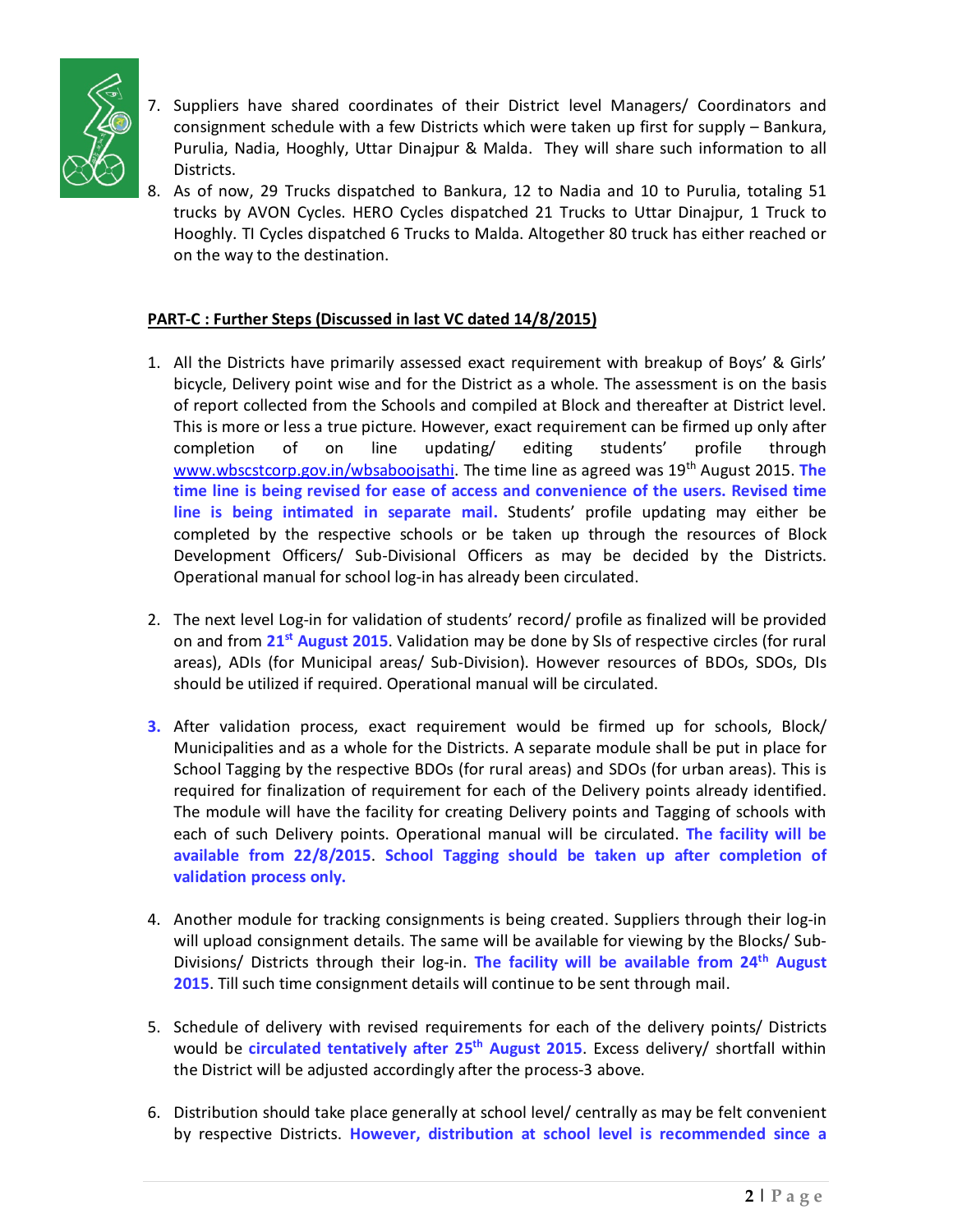

- 7. Suppliers have shared coordinates of their District level Managers/ Coordinators and consignment schedule with a few Districts which were taken up first for supply – Bankura, Purulia, Nadia, Hooghly, Uttar Dinajpur & Malda. They will share such information to all Districts.
- 8. As of now, 29 Trucks dispatched to Bankura, 12 to Nadia and 10 to Purulia, totaling 51 trucks by AVON Cycles. HERO Cycles dispatched 21 Trucks to Uttar Dinajpur, 1 Truck to Hooghly. TI Cycles dispatched 6 Trucks to Malda. Altogether 80 truck has either reached or on the way to the destination.

## **PART-C : Further Steps (Discussed in last VC dated 14/8/2015)**

- 1. All the Districts have primarily assessed exact requirement with breakup of Boys' & Girls' bicycle, Delivery point wise and for the District as a whole. The assessment is on the basis of report collected from the Schools and compiled at Block and thereafter at District level. This is more or less a true picture. However, exact requirement can be firmed up only after completion of on line updating/ editing students' profile through www.wbscstcorp.gov.in/wbsaboojsathi. The time line as agreed was 19<sup>th</sup> August 2015. The **time line is being revised for ease of access and convenience of the users. Revised time line is being intimated in separate mail.** Students' profile updating may either be completed by the respective schools or be taken up through the resources of Block Development Officers/ Sub-Divisional Officers as may be decided by the Districts. Operational manual for school log-in has already been circulated.
- 2. The next level Log-in for validation of students' record/ profile as finalized will be provided on and from **21st August 2015**. Validation may be done by SIs of respective circles (for rural areas), ADIs (for Municipal areas/ Sub-Division). However resources of BDOs, SDOs, DIs should be utilized if required. Operational manual will be circulated.
- **3.** After validation process, exact requirement would be firmed up for schools, Block/ Municipalities and as a whole for the Districts. A separate module shall be put in place for School Tagging by the respective BDOs (for rural areas) and SDOs (for urban areas). This is required for finalization of requirement for each of the Delivery points already identified. The module will have the facility for creating Delivery points and Tagging of schools with each of such Delivery points. Operational manual will be circulated. **The facility will be available from 22/8/2015**. **School Tagging should be taken up after completion of validation process only.**
- 4. Another module for tracking consignments is being created. Suppliers through their log-in will upload consignment details. The same will be available for viewing by the Blocks/ Sub-Divisions/ Districts through their log-in. **The facility will be available from 24th August 2015**. Till such time consignment details will continue to be sent through mail.
- 5. Schedule of delivery with revised requirements for each of the delivery points/ Districts would be **circulated tentatively after 25th August 2015**. Excess delivery/ shortfall within the District will be adjusted accordingly after the process-3 above.
- 6. Distribution should take place generally at school level/ centrally as may be felt convenient by respective Districts. **However, distribution at school level is recommended since a**